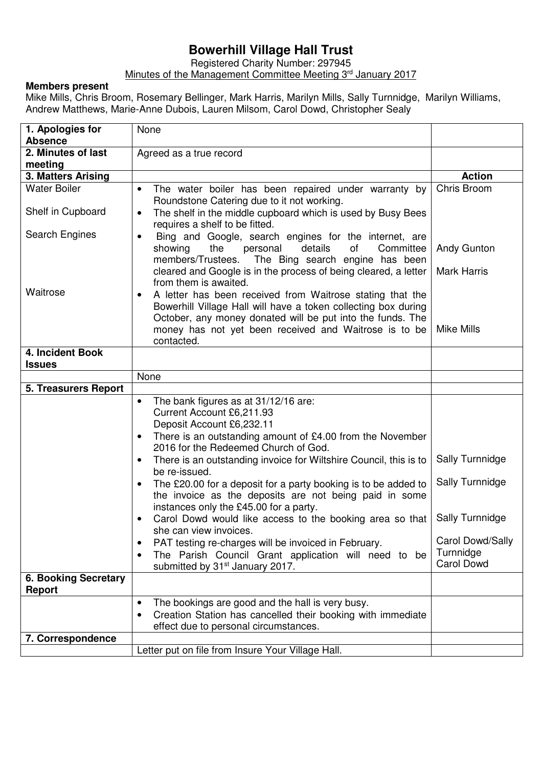## **Bowerhill Village Hall Trust**

Registered Charity Number: 297945

Minutes of the Management Committee Meeting 3<sup>rd</sup> January 2017

## **Members present**

֧֖֖֖֖֚֚֚֚֞֝֬

Mike Mills, Chris Broom, Rosemary Bellinger, Mark Harris, Marilyn Mills, Sally Turnnidge, Marilyn Williams, Andrew Matthews, Marie-Anne Dubois, Lauren Milsom, Carol Dowd, Christopher Sealy

| 1. Apologies for                             | None                                                                                                                                                                                                                                                                                                                                                                                                            |                                                                       |
|----------------------------------------------|-----------------------------------------------------------------------------------------------------------------------------------------------------------------------------------------------------------------------------------------------------------------------------------------------------------------------------------------------------------------------------------------------------------------|-----------------------------------------------------------------------|
| <b>Absence</b>                               |                                                                                                                                                                                                                                                                                                                                                                                                                 |                                                                       |
| 2. Minutes of last                           | Agreed as a true record                                                                                                                                                                                                                                                                                                                                                                                         |                                                                       |
| meeting                                      |                                                                                                                                                                                                                                                                                                                                                                                                                 |                                                                       |
| 3. Matters Arising                           |                                                                                                                                                                                                                                                                                                                                                                                                                 | <b>Action</b>                                                         |
| <b>Water Boiler</b><br>Shelf in Cupboard     | The water boiler has been repaired under warranty by<br>$\bullet$<br>Roundstone Catering due to it not working.<br>The shelf in the middle cupboard which is used by Busy Bees<br>$\bullet$<br>requires a shelf to be fitted.                                                                                                                                                                                   | Chris Broom                                                           |
| Search Engines                               | Bing and Google, search engines for the internet, are<br>$\bullet$<br>details<br>of<br>showing<br>the<br>personal<br>Committee<br>The Bing search engine has been<br>members/Trustees.                                                                                                                                                                                                                          | Andy Gunton                                                           |
|                                              | cleared and Google is in the process of being cleared, a letter<br>from them is awaited.                                                                                                                                                                                                                                                                                                                        | <b>Mark Harris</b>                                                    |
| Waitrose                                     | A letter has been received from Waitrose stating that the<br>$\bullet$<br>Bowerhill Village Hall will have a token collecting box during<br>October, any money donated will be put into the funds. The<br>money has not yet been received and Waitrose is to be<br>contacted.                                                                                                                                   | <b>Mike Mills</b>                                                     |
| 4. Incident Book                             |                                                                                                                                                                                                                                                                                                                                                                                                                 |                                                                       |
| <b>Issues</b>                                |                                                                                                                                                                                                                                                                                                                                                                                                                 |                                                                       |
|                                              | None                                                                                                                                                                                                                                                                                                                                                                                                            |                                                                       |
| 5. Treasurers Report                         |                                                                                                                                                                                                                                                                                                                                                                                                                 |                                                                       |
|                                              | The bank figures as at 31/12/16 are:<br>$\bullet$<br>Current Account £6,211.93<br>Deposit Account £6,232.11<br>There is an outstanding amount of £4.00 from the November<br>$\bullet$<br>2016 for the Redeemed Church of God.<br>There is an outstanding invoice for Wiltshire Council, this is to<br>$\bullet$<br>be re-issued.<br>The £20.00 for a deposit for a party booking is to be added to<br>$\bullet$ | Sally Turnnidge<br>Sally Turnnidge                                    |
|                                              | the invoice as the deposits are not being paid in some<br>instances only the £45.00 for a party.<br>Carol Dowd would like access to the booking area so that<br>$\bullet$<br>she can view invoices.<br>PAT testing re-charges will be invoiced in February.<br>The Parish Council Grant application will need to be<br>٠<br>submitted by 31 <sup>st</sup> January 2017.                                         | Sally Turnnidge<br>Carol Dowd/Sally<br>Turnnidge<br><b>Carol Dowd</b> |
| <b>6. Booking Secretary</b><br><b>Report</b> |                                                                                                                                                                                                                                                                                                                                                                                                                 |                                                                       |
|                                              | The bookings are good and the hall is very busy.<br>$\bullet$<br>Creation Station has cancelled their booking with immediate<br>٠<br>effect due to personal circumstances.                                                                                                                                                                                                                                      |                                                                       |
| 7. Correspondence                            |                                                                                                                                                                                                                                                                                                                                                                                                                 |                                                                       |
|                                              | Letter put on file from Insure Your Village Hall.                                                                                                                                                                                                                                                                                                                                                               |                                                                       |